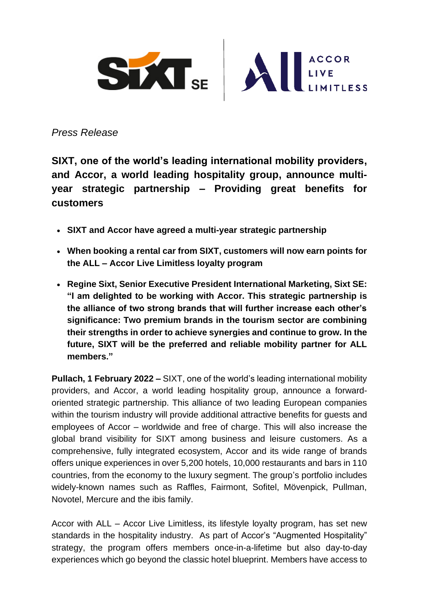

*Press Release*

**SIXT, one of the world's leading international mobility providers, and Accor, a world leading hospitality group, announce multiyear strategic partnership – Providing great benefits for customers**

- **SIXT and Accor have agreed a multi-year strategic partnership**
- **When booking a rental car from SIXT, customers will now earn points for the ALL – Accor Live Limitless loyalty program**
- **Regine Sixt, Senior Executive President International Marketing, Sixt SE: "I am delighted to be working with Accor. This strategic partnership is the alliance of two strong brands that will further increase each other's significance: Two premium brands in the tourism sector are combining their strengths in order to achieve synergies and continue to grow. In the future, SIXT will be the preferred and reliable mobility partner for ALL members."**

**Pullach, 1 February 2022 –** SIXT, one of the world's leading international mobility providers, and Accor, a world leading hospitality group, announce a forwardoriented strategic partnership. This alliance of two leading European companies within the tourism industry will provide additional attractive benefits for guests and employees of Accor – worldwide and free of charge. This will also increase the global brand visibility for SIXT among business and leisure customers. As a comprehensive, fully integrated ecosystem, Accor and its wide range of brands offers unique experiences in over 5,200 hotels, 10,000 restaurants and bars in 110 countries, from the economy to the luxury segment. The group's portfolio includes widely-known names such as Raffles, Fairmont, Sofitel, Mövenpick, Pullman, Novotel, Mercure and the ibis family.

Accor with ALL – Accor Live Limitless, its lifestyle loyalty program, has set new standards in the hospitality industry. As part of Accor's "Augmented Hospitality" strategy, the program offers members once-in-a-lifetime but also day-to-day experiences which go beyond the classic hotel blueprint. Members have access to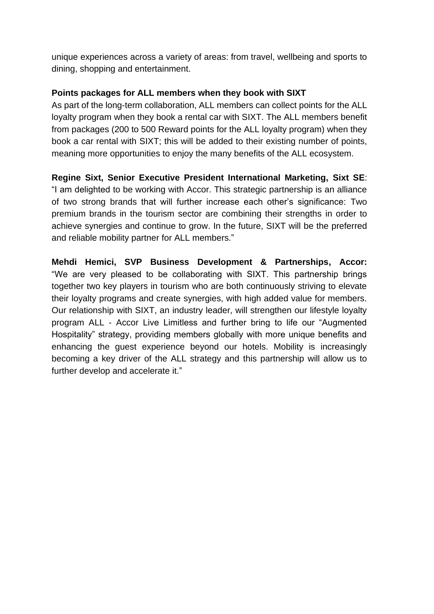unique experiences across a variety of areas: from travel, wellbeing and sports to dining, shopping and entertainment.

# **Points packages for ALL members when they book with SIXT**

As part of the long-term collaboration, ALL members can collect points for the ALL loyalty program when they book a rental car with SIXT. The ALL members benefit from packages (200 to 500 Reward points for the ALL loyalty program) when they book a car rental with SIXT; this will be added to their existing number of points, meaning more opportunities to enjoy the many benefits of the ALL ecosystem.

**Regine Sixt, Senior Executive President International Marketing, Sixt SE**: "I am delighted to be working with Accor. This strategic partnership is an alliance of two strong brands that will further increase each other's significance: Two premium brands in the tourism sector are combining their strengths in order to achieve synergies and continue to grow. In the future, SIXT will be the preferred and reliable mobility partner for ALL members."

**Mehdi Hemici, SVP Business Development & Partnerships, Accor:**  "We are very pleased to be collaborating with SIXT. This partnership brings together two key players in tourism who are both continuously striving to elevate their loyalty programs and create synergies, with high added value for members. Our relationship with SIXT, an industry leader, will strengthen our lifestyle loyalty program ALL - Accor Live Limitless and further bring to life our "Augmented Hospitality" strategy, providing members globally with more unique benefits and enhancing the guest experience beyond our hotels. Mobility is increasingly becoming a key driver of the ALL strategy and this partnership will allow us to further develop and accelerate it."